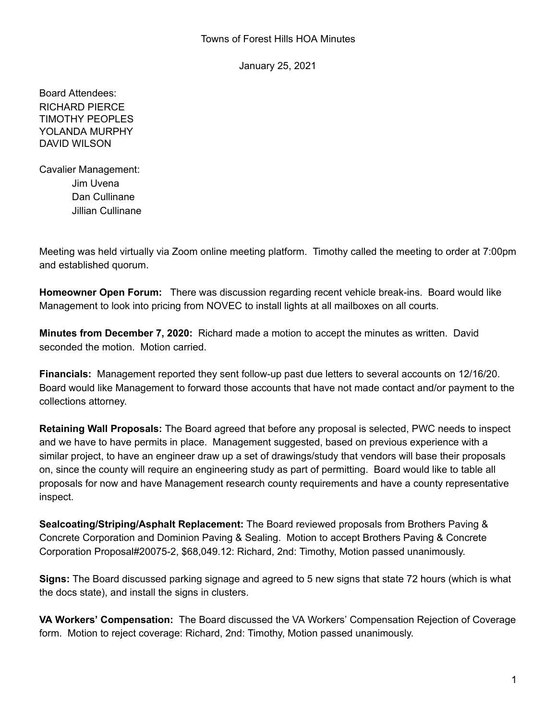January 25, 2021

Board Attendees: RICHARD PIERCE TIMOTHY PEOPLES YOLANDA MURPHY DAVID WILSON

Cavalier Management: Jim Uvena Dan Cullinane Jillian Cullinane

Meeting was held virtually via Zoom online meeting platform. Timothy called the meeting to order at 7:00pm and established quorum.

**Homeowner Open Forum:** There was discussion regarding recent vehicle break-ins. Board would like Management to look into pricing from NOVEC to install lights at all mailboxes on all courts.

**Minutes from December 7, 2020:** Richard made a motion to accept the minutes as written. David seconded the motion. Motion carried.

**Financials:** Management reported they sent follow-up past due letters to several accounts on 12/16/20. Board would like Management to forward those accounts that have not made contact and/or payment to the collections attorney.

**Retaining Wall Proposals:** The Board agreed that before any proposal is selected, PWC needs to inspect and we have to have permits in place. Management suggested, based on previous experience with a similar project, to have an engineer draw up a set of drawings/study that vendors will base their proposals on, since the county will require an engineering study as part of permitting. Board would like to table all proposals for now and have Management research county requirements and have a county representative inspect.

**Sealcoating/Striping/Asphalt Replacement:** The Board reviewed proposals from Brothers Paving & Concrete Corporation and Dominion Paving & Sealing. Motion to accept Brothers Paving & Concrete Corporation Proposal#20075-2, \$68,049.12: Richard, 2nd: Timothy, Motion passed unanimously.

**Signs:** The Board discussed parking signage and agreed to 5 new signs that state 72 hours (which is what the docs state), and install the signs in clusters.

**VA Workers' Compensation:** The Board discussed the VA Workers' Compensation Rejection of Coverage form. Motion to reject coverage: Richard, 2nd: Timothy, Motion passed unanimously.